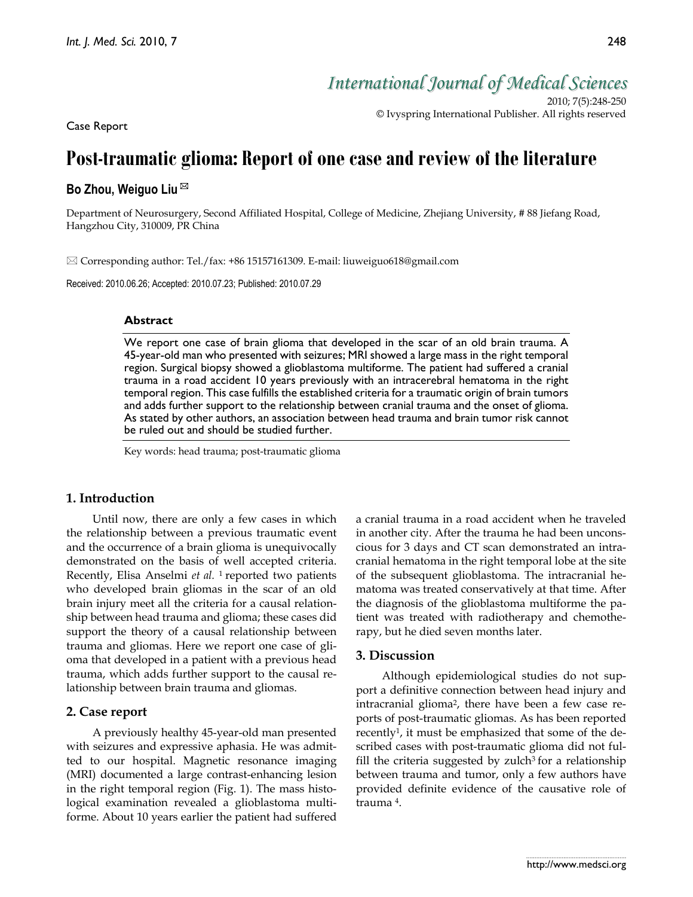*International Journal of Medical Sciences*

2010; 7(5):248-250 © Ivyspring International Publisher. All rights reserved

Case Report

# **Post-traumatic glioma: Report of one case and review of the literature**

# **Bo Zhou, Weiguo Liu**

Department of Neurosurgery, Second Affiliated Hospital, College of Medicine, Zhejiang University, # 88 Jiefang Road, Hangzhou City, 310009, PR China

Corresponding author: Tel./fax: +86 15157161309. E-mail: liuweiguo618@gmail.com

Received: 2010.06.26; Accepted: 2010.07.23; Published: 2010.07.29

#### **Abstract**

We report one case of brain glioma that developed in the scar of an old brain trauma. A 45-year-old man who presented with seizures; MRI showed a large mass in the right temporal region. Surgical biopsy showed a glioblastoma multiforme. The patient had suffered a cranial trauma in a road accident 10 years previously with an intracerebral hematoma in the right temporal region. This case fulfills the established criteria for a traumatic origin of brain tumors and adds further support to the relationship between cranial trauma and the onset of glioma. As stated by other authors, an association between head trauma and brain tumor risk cannot be ruled out and should be studied further.

Key words: head trauma; post-traumatic glioma

### **1. Introduction**

Until now, there are only a few cases in which the relationship between a previous traumatic event and the occurrence of a brain glioma is unequivocally demonstrated on the basis of well accepted criteria. Recently, Elisa Anselmi *et al.* 1 reported two patients who developed brain gliomas in the scar of an old brain injury meet all the criteria for a causal relationship between head trauma and glioma; these cases did support the theory of a causal relationship between trauma and gliomas. Here we report one case of glioma that developed in a patient with a previous head trauma, which adds further support to the causal relationship between brain trauma and gliomas.

#### **2. Case report**

A previously healthy 45-year-old man presented with seizures and expressive aphasia. He was admitted to our hospital. Magnetic resonance imaging (MRI) documented a large contrast-enhancing lesion in the right temporal region (Fig. 1). The mass histological examination revealed a glioblastoma multiforme. About 10 years earlier the patient had suffered a cranial trauma in a road accident when he traveled in another city. After the trauma he had been unconscious for 3 days and CT scan demonstrated an intracranial hematoma in the right temporal lobe at the site of the subsequent glioblastoma. The intracranial hematoma was treated conservatively at that time. After the diagnosis of the glioblastoma multiforme the patient was treated with radiotherapy and chemotherapy, but he died seven months later.

#### **3. Discussion**

Although epidemiological studies do not support a definitive connection between head injury and intracranial glioma<sup>2</sup>, there have been a few case reports of post-traumatic gliomas. As has been reported recently1, it must be emphasized that some of the described cases with post-traumatic glioma did not fulfill the criteria suggested by zulch<sup>3</sup> for a relationship between trauma and tumor, only a few authors have provided definite evidence of the causative role of trauma 4.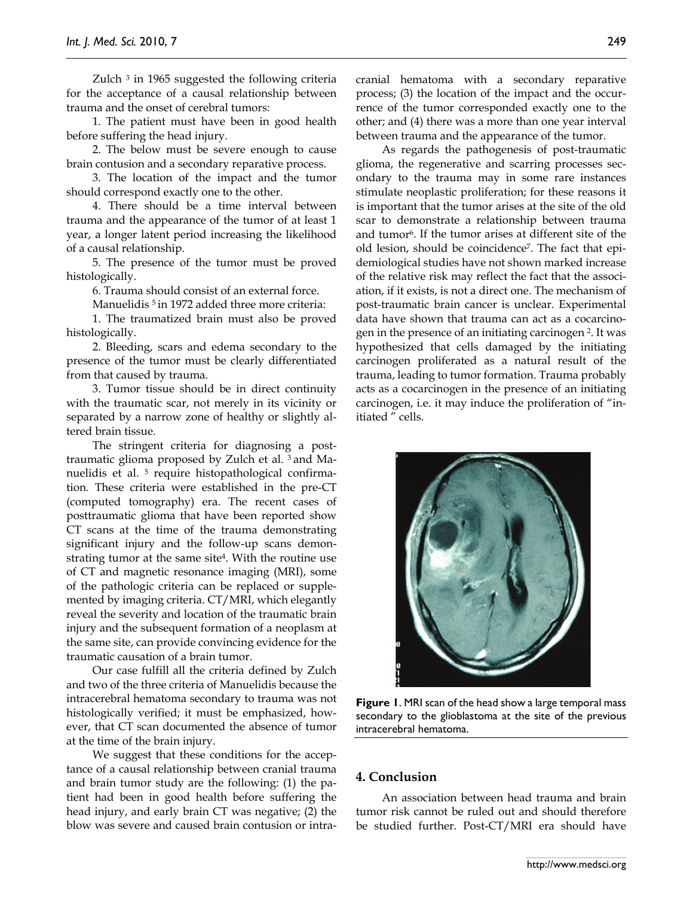Zulch  $3$  in 1965 suggested the following criteria for the acceptance of a causal relationship between trauma and the onset of cerebral tumors:

1. The patient must have been in good health before suffering the head injury.

2. The below must be severe enough to cause brain contusion and a secondary reparative process.

3. The location of the impact and the tumor should correspond exactly one to the other.

4. There should be a time interval between trauma and the appearance of the tumor of at least 1 year, a longer latent period increasing the likelihood of a causal relationship.

5. The presence of the tumor must be proved histologically.

6. Trauma should consist of an external force.

Manuelidis<sup>5</sup> in 1972 added three more criteria:

1. The traumatized brain must also be proved histologically.

2. Bleeding, scars and edema secondary to the presence of the tumor must be clearly differentiated from that caused by trauma.

3. Tumor tissue should be in direct continuity with the traumatic scar, not merely in its vicinity or separated by a narrow zone of healthy or slightly altered brain tissue.

The stringent criteria for diagnosing a posttraumatic glioma proposed by Zulch et al. 3 and Manuelidis et al. 5 require histopathological confirmation. These criteria were established in the pre-CT (computed tomography) era. The recent cases of posttraumatic glioma that have been reported show CT scans at the time of the trauma demonstrating significant injury and the follow-up scans demonstrating tumor at the same site4. With the routine use of CT and magnetic resonance imaging (MRI), some of the pathologic criteria can be replaced or supplemented by imaging criteria. CT/MRI, which elegantly reveal the severity and location of the traumatic brain injury and the subsequent formation of a neoplasm at the same site, can provide convincing evidence for the traumatic causation of a brain tumor.

Our case fulfill all the criteria defined by Zulch and two of the three criteria of Manuelidis because the intracerebral hematoma secondary to trauma was not histologically verified; it must be emphasized, however, that CT scan documented the absence of tumor at the time of the brain injury.

We suggest that these conditions for the acceptance of a causal relationship between cranial trauma and brain tumor study are the following: (1) the patient had been in good health before suffering the head injury, and early brain CT was negative; (2) the blow was severe and caused brain contusion or intracranial hematoma with a secondary reparative process; (3) the location of the impact and the occurrence of the tumor corresponded exactly one to the other; and (4) there was a more than one year interval between trauma and the appearance of the tumor.

As regards the pathogenesis of post-traumatic glioma, the regenerative and scarring processes secondary to the trauma may in some rare instances stimulate neoplastic proliferation; for these reasons it is important that the tumor arises at the site of the old scar to demonstrate a relationship between trauma and tumor6. If the tumor arises at different site of the old lesion, should be coincidence7. The fact that epidemiological studies have not shown marked increase of the relative risk may reflect the fact that the association, if it exists, is not a direct one. The mechanism of post-traumatic brain cancer is unclear. Experimental data have shown that trauma can act as a cocarcinogen in the presence of an initiating carcinogen 2. It was hypothesized that cells damaged by the initiating carcinogen proliferated as a natural result of the trauma, leading to tumor formation. Trauma probably acts as a cocarcinogen in the presence of an initiating carcinogen, i.e. it may induce the proliferation of "initiated " cells.



**Figure 1**. MRI scan of the head show a large temporal mass secondary to the glioblastoma at the site of the previous intracerebral hematoma.

# **4. Conclusion**

An association between head trauma and brain tumor risk cannot be ruled out and should therefore be studied further. Post-CT/MRI era should have